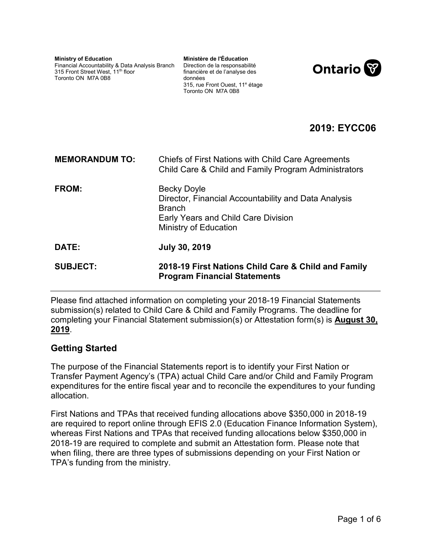| <b>Ministry of Education</b>                    | Ministère de l'Éducation                                          |
|-------------------------------------------------|-------------------------------------------------------------------|
| Financial Accountability & Data Analysis Branch | Direction de la responsabilité                                    |
| 315 Front Street West, 11 <sup>th</sup> floor   | financière et de l'analyse des                                    |
| Toronto ON M7A 0B8                              | données                                                           |
|                                                 | 315, rue Front Ouest, 11 <sup>e</sup> étage<br>Toronto ON M7A 0B8 |



# **2019: EYCC06**

| <b>MEMORANDUM TO:</b> | Chiefs of First Nations with Child Care Agreements<br>Child Care & Child and Family Program Administrators                                                  |
|-----------------------|-------------------------------------------------------------------------------------------------------------------------------------------------------------|
| FROM:                 | <b>Becky Doyle</b><br>Director, Financial Accountability and Data Analysis<br><b>Branch</b><br>Early Years and Child Care Division<br>Ministry of Education |
| DATE:                 | <b>July 30, 2019</b>                                                                                                                                        |
| <b>SUBJECT:</b>       | 2018-19 First Nations Child Care & Child and Family<br><b>Program Financial Statements</b>                                                                  |

Please find attached information on completing your 2018-19 Financial Statements submission(s) related to Child Care & Child and Family Programs. The deadline for completing your Financial Statement submission(s) or Attestation form(s) is **August 30, 2019**.

### **Getting Started**

The purpose of the Financial Statements report is to identify your First Nation or Transfer Payment Agency's (TPA) actual Child Care and/or Child and Family Program expenditures for the entire fiscal year and to reconcile the expenditures to your funding allocation.

First Nations and TPAs that received funding allocations above \$350,000 in 2018-19 are required to report online through EFIS 2.0 (Education Finance Information System), whereas First Nations and TPAs that received funding allocations below \$350,000 in 2018-19 are required to complete and submit an Attestation form. Please note that when filing, there are three types of submissions depending on your First Nation or TPA's funding from the ministry.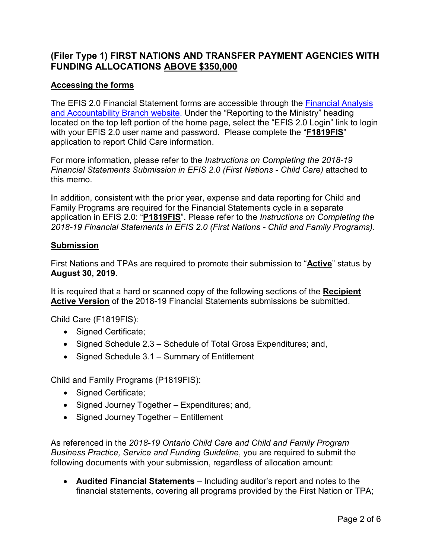### **(Filer Type 1) FIRST NATIONS AND TRANSFER PAYMENT AGENCIES WITH FUNDING ALLOCATIONS ABOVE \$350,000**

### **Accessing the forms**

The EFIS 2.0 Financial Statement forms are accessible through the [Financial Analysis](https://efis.fma.csc.gov.on.ca/faab/)  [and Accountability Branch website.](https://efis.fma.csc.gov.on.ca/faab/) Under the "Reporting to the Ministry" heading located on the top left portion of the home page, select the "EFIS 2.0 Login" link to login with your EFIS 2.0 user name and password. Please complete the "**F1819FIS**" application to report Child Care information.

For more information, please refer to the *Instructions on Completing the 2018-19 Financial Statements Submission in EFIS 2.0 (First Nations - Child Care)* attached to this memo.

In addition, consistent with the prior year, expense and data reporting for Child and Family Programs are required for the Financial Statements cycle in a separate application in EFIS 2.0: "**P1819FIS**". Please refer to the *Instructions on Completing the 2018-19 Financial Statements in EFIS 2.0 (First Nations - Child and Family Programs)*.

#### **Submission**

First Nations and TPAs are required to promote their submission to "**Active**" status by **August 30, 2019.** 

It is required that a hard or scanned copy of the following sections of the **Recipient Active Version** of the 2018-19 Financial Statements submissions be submitted.

Child Care (F1819FIS):

- Signed Certificate;
- Signed Schedule 2.3 Schedule of Total Gross Expenditures; and,
- Signed Schedule 3.1 Summary of Entitlement

Child and Family Programs (P1819FIS):

- Signed Certificate:
- Signed Journey Together Expenditures; and,
- Signed Journey Together Entitlement

As referenced in the *2018-19 Ontario Child Care and Child and Family Program Business Practice, Service and Funding Guideline*, you are required to submit the following documents with your submission, regardless of allocation amount:

 **Audited Financial Statements** – Including auditor's report and notes to the financial statements, covering all programs provided by the First Nation or TPA;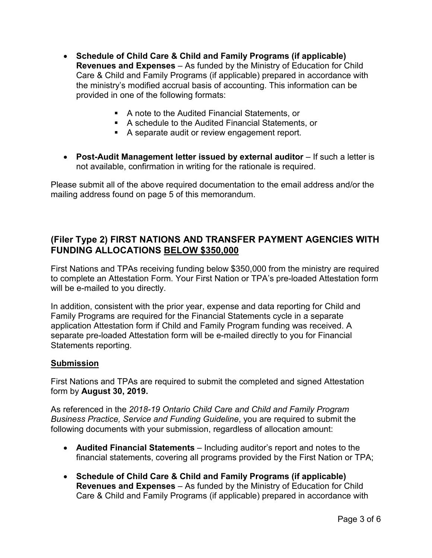- **Schedule of Child Care & Child and Family Programs (if applicable) Revenues and Expenses** – As funded by the Ministry of Education for Child Care & Child and Family Programs (if applicable) prepared in accordance with the ministry's modified accrual basis of accounting. This information can be provided in one of the following formats:
	- A note to the Audited Financial Statements, or
	- A schedule to the Audited Financial Statements, or
	- A separate audit or review engagement report.
- **Post-Audit Management letter issued by external auditor** If such a letter is not available, confirmation in writing for the rationale is required.

Please submit all of the above required documentation to the email address and/or the mailing address found on page 5 of this memorandum.

# **(Filer Type 2) FIRST NATIONS AND TRANSFER PAYMENT AGENCIES WITH FUNDING ALLOCATIONS BELOW \$350,000**

First Nations and TPAs receiving funding below \$350,000 from the ministry are required to complete an Attestation Form. Your First Nation or TPA's pre-loaded Attestation form will be e-mailed to you directly.

In addition, consistent with the prior year, expense and data reporting for Child and Family Programs are required for the Financial Statements cycle in a separate application Attestation form if Child and Family Program funding was received. A separate pre-loaded Attestation form will be e-mailed directly to you for Financial Statements reporting.

#### **Submission**

First Nations and TPAs are required to submit the completed and signed Attestation form by **August 30, 2019.** 

As referenced in the *2018-19 Ontario Child Care and Child and Family Program Business Practice, Service and Funding Guideline*, you are required to submit the following documents with your submission, regardless of allocation amount:

- **Audited Financial Statements** Including auditor's report and notes to the financial statements, covering all programs provided by the First Nation or TPA;
- **Schedule of Child Care & Child and Family Programs (if applicable) Revenues and Expenses** – As funded by the Ministry of Education for Child Care & Child and Family Programs (if applicable) prepared in accordance with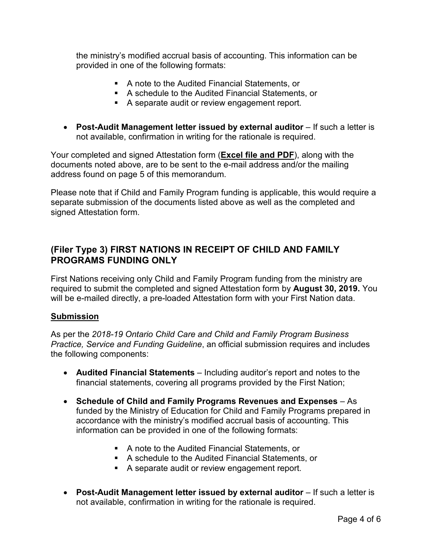the ministry's modified accrual basis of accounting. This information can be provided in one of the following formats:

- A note to the Audited Financial Statements, or
- A schedule to the Audited Financial Statements, or
- A separate audit or review engagement report.
- **Post-Audit Management letter issued by external auditor** If such a letter is not available, confirmation in writing for the rationale is required.

Your completed and signed Attestation form (**Excel file and PDF**), along with the documents noted above, are to be sent to the e-mail address and/or the mailing address found on page 5 of this memorandum.

Please note that if Child and Family Program funding is applicable, this would require a separate submission of the documents listed above as well as the completed and signed Attestation form.

## **(Filer Type 3) FIRST NATIONS IN RECEIPT OF CHILD AND FAMILY PROGRAMS FUNDING ONLY**

First Nations receiving only Child and Family Program funding from the ministry are required to submit the completed and signed Attestation form by **August 30, 2019.** You will be e-mailed directly, a pre-loaded Attestation form with your First Nation data.

#### **Submission**

As per the *2018-19 Ontario Child Care and Child and Family Program Business Practice, Service and Funding Guideline*, an official submission requires and includes the following components:

- **Audited Financial Statements** Including auditor's report and notes to the financial statements, covering all programs provided by the First Nation;
- **Schedule of Child and Family Programs Revenues and Expenses** As funded by the Ministry of Education for Child and Family Programs prepared in accordance with the ministry's modified accrual basis of accounting. This information can be provided in one of the following formats:
	- A note to the Audited Financial Statements, or
	- A schedule to the Audited Financial Statements, or
	- A separate audit or review engagement report.
- **Post-Audit Management letter issued by external auditor** If such a letter is not available, confirmation in writing for the rationale is required.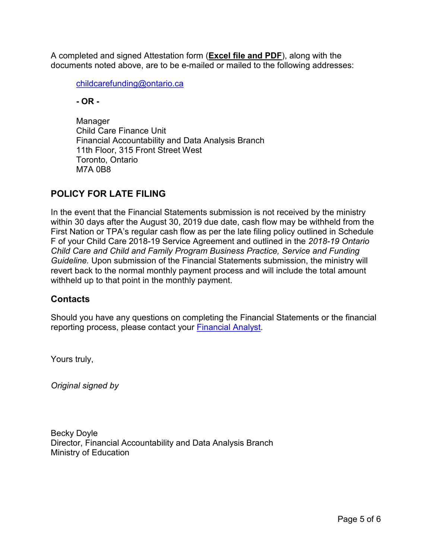A completed and signed Attestation form (**Excel file and PDF**), along with the documents noted above, are to be e-mailed or mailed to the following addresses:

[childcarefunding@ontario.ca](mailto:childcarefunding@ontario.ca)

**- OR -** 

Manager Child Care Finance Unit Financial Accountability and Data Analysis Branch 11th Floor, 315 Front Street West Toronto, Ontario M7A 0B8

# **POLICY FOR LATE FILING**

In the event that the Financial Statements submission is not received by the ministry within 30 days after the August 30, 2019 due date, cash flow may be withheld from the First Nation or TPA's regular cash flow as per the late filing policy outlined in Schedule F of your Child Care 2018-19 Service Agreement and outlined in the *2018-19 Ontario Child Care and Child and Family Program Business Practice, Service and Funding Guideline.* Upon submission of the Financial Statements submission, the ministry will revert back to the normal monthly payment process and will include the total amount withheld up to that point in the monthly payment.

### **Contacts**

Should you have any questions on completing the Financial Statements or the financial reporting process, please contact your [Financial Analyst.](https://efis.fma.csc.gov.on.ca/faab/Contact_Us.htm)

Yours truly,

*Original signed by* 

Becky Doyle Director, Financial Accountability and Data Analysis Branch Ministry of Education